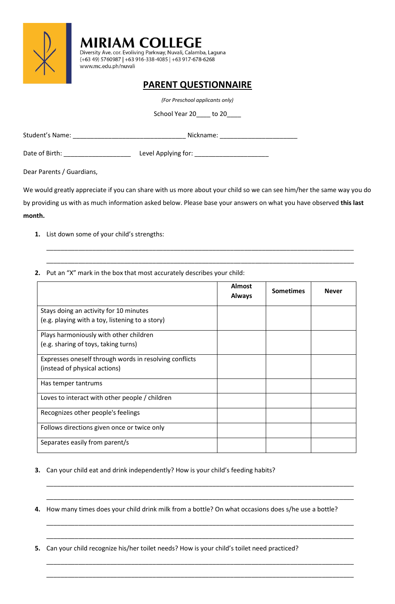

*(For Preschool applicants only)* 

School Year 20\_\_\_\_ to 20\_\_\_\_

| Student's Name: | Nickname:           |
|-----------------|---------------------|
| Date of Birth:  | Level Applying for: |
|                 |                     |

Dear Parents / Guardians,

We would greatly appreciate if you can share with us more about your child so we can see him/her the same way you do by providing us with as much information asked below. Please base your answers on what you have observed **this last month.**

\_\_\_\_\_\_\_\_\_\_\_\_\_\_\_\_\_\_\_\_\_\_\_\_\_\_\_\_\_\_\_\_\_\_\_\_\_\_\_\_\_\_\_\_\_\_\_\_\_\_\_\_\_\_\_\_\_\_\_\_\_\_\_\_\_\_\_\_\_\_\_\_\_\_\_\_\_\_\_\_\_\_\_\_\_\_\_

\_\_\_\_\_\_\_\_\_\_\_\_\_\_\_\_\_\_\_\_\_\_\_\_\_\_\_\_\_\_\_\_\_\_\_\_\_\_\_\_\_\_\_\_\_\_\_\_\_\_\_\_\_\_\_\_\_\_\_\_\_\_\_\_\_\_\_\_\_\_\_\_\_\_\_\_\_\_\_\_\_\_\_\_\_\_\_

- **1.** List down some of your child's strengths:
- **2.** Put an "X" mark in the box that most accurately describes your child:

|                                                        | <b>Almost</b><br><b>Always</b> | <b>Sometimes</b> | <b>Never</b> |
|--------------------------------------------------------|--------------------------------|------------------|--------------|
| Stays doing an activity for 10 minutes                 |                                |                  |              |
| (e.g. playing with a toy, listening to a story)        |                                |                  |              |
| Plays harmoniously with other children                 |                                |                  |              |
| (e.g. sharing of toys, taking turns)                   |                                |                  |              |
| Expresses oneself through words in resolving conflicts |                                |                  |              |
| (instead of physical actions)                          |                                |                  |              |
| Has temper tantrums                                    |                                |                  |              |
| Loves to interact with other people / children         |                                |                  |              |
| Recognizes other people's feelings                     |                                |                  |              |
| Follows directions given once or twice only            |                                |                  |              |
| Separates easily from parent/s                         |                                |                  |              |

- **3.** Can your child eat and drink independently? How is your child's feeding habits?
- **4.** How many times does your child drink milk from a bottle? On what occasions does s/he use a bottle?

\_\_\_\_\_\_\_\_\_\_\_\_\_\_\_\_\_\_\_\_\_\_\_\_\_\_\_\_\_\_\_\_\_\_\_\_\_\_\_\_\_\_\_\_\_\_\_\_\_\_\_\_\_\_\_\_\_\_\_\_\_\_\_\_\_\_\_\_\_\_\_\_\_\_\_\_\_\_\_\_\_\_\_\_\_\_\_

\_\_\_\_\_\_\_\_\_\_\_\_\_\_\_\_\_\_\_\_\_\_\_\_\_\_\_\_\_\_\_\_\_\_\_\_\_\_\_\_\_\_\_\_\_\_\_\_\_\_\_\_\_\_\_\_\_\_\_\_\_\_\_\_\_\_\_\_\_\_\_\_\_\_\_\_\_\_\_\_\_\_\_\_\_\_\_

\_\_\_\_\_\_\_\_\_\_\_\_\_\_\_\_\_\_\_\_\_\_\_\_\_\_\_\_\_\_\_\_\_\_\_\_\_\_\_\_\_\_\_\_\_\_\_\_\_\_\_\_\_\_\_\_\_\_\_\_\_\_\_\_\_\_\_\_\_\_\_\_\_\_\_\_\_\_\_\_\_\_\_\_\_\_\_

\_\_\_\_\_\_\_\_\_\_\_\_\_\_\_\_\_\_\_\_\_\_\_\_\_\_\_\_\_\_\_\_\_\_\_\_\_\_\_\_\_\_\_\_\_\_\_\_\_\_\_\_\_\_\_\_\_\_\_\_\_\_\_\_\_\_\_\_\_\_\_\_\_\_\_\_\_\_\_\_\_\_\_\_\_\_\_

\_\_\_\_\_\_\_\_\_\_\_\_\_\_\_\_\_\_\_\_\_\_\_\_\_\_\_\_\_\_\_\_\_\_\_\_\_\_\_\_\_\_\_\_\_\_\_\_\_\_\_\_\_\_\_\_\_\_\_\_\_\_\_\_\_\_\_\_\_\_\_\_\_\_\_\_\_\_\_\_\_\_\_\_\_\_\_

\_\_\_\_\_\_\_\_\_\_\_\_\_\_\_\_\_\_\_\_\_\_\_\_\_\_\_\_\_\_\_\_\_\_\_\_\_\_\_\_\_\_\_\_\_\_\_\_\_\_\_\_\_\_\_\_\_\_\_\_\_\_\_\_\_\_\_\_\_\_\_\_\_\_\_\_\_\_\_\_\_\_\_\_\_\_\_

**5.** Can your child recognize his/her toilet needs? How is your child's toilet need practiced?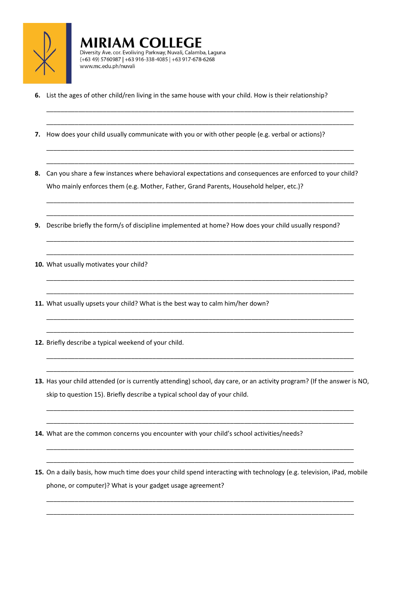

**6.** List the ages of other child/ren living in the same house with your child. How is their relationship?

**MIRIAM COLLEGE** 

www.mc.edu.ph/nuvali

Diversity Ave. cor. Evoliving Parkway, Nuvali, Calamba, Laguna (+63 49) 5760987 | +63 916-338-4085 | +63 917-678-6268

- **7.** How does your child usually communicate with you or with other people (e.g. verbal or actions)?
- **8.** Can you share a few instances where behavioral expectations and consequences are enforced to your child? Who mainly enforces them (e.g. Mother, Father, Grand Parents, Household helper, etc.)?

\_\_\_\_\_\_\_\_\_\_\_\_\_\_\_\_\_\_\_\_\_\_\_\_\_\_\_\_\_\_\_\_\_\_\_\_\_\_\_\_\_\_\_\_\_\_\_\_\_\_\_\_\_\_\_\_\_\_\_\_\_\_\_\_\_\_\_\_\_\_\_\_\_\_\_\_\_\_\_\_\_\_\_\_\_\_\_

\_\_\_\_\_\_\_\_\_\_\_\_\_\_\_\_\_\_\_\_\_\_\_\_\_\_\_\_\_\_\_\_\_\_\_\_\_\_\_\_\_\_\_\_\_\_\_\_\_\_\_\_\_\_\_\_\_\_\_\_\_\_\_\_\_\_\_\_\_\_\_\_\_\_\_\_\_\_\_\_\_\_\_\_\_\_\_

\_\_\_\_\_\_\_\_\_\_\_\_\_\_\_\_\_\_\_\_\_\_\_\_\_\_\_\_\_\_\_\_\_\_\_\_\_\_\_\_\_\_\_\_\_\_\_\_\_\_\_\_\_\_\_\_\_\_\_\_\_\_\_\_\_\_\_\_\_\_\_\_\_\_\_\_\_\_\_\_\_\_\_\_\_\_\_

\_\_\_\_\_\_\_\_\_\_\_\_\_\_\_\_\_\_\_\_\_\_\_\_\_\_\_\_\_\_\_\_\_\_\_\_\_\_\_\_\_\_\_\_\_\_\_\_\_\_\_\_\_\_\_\_\_\_\_\_\_\_\_\_\_\_\_\_\_\_\_\_\_\_\_\_\_\_\_\_\_\_\_\_\_\_\_

\_\_\_\_\_\_\_\_\_\_\_\_\_\_\_\_\_\_\_\_\_\_\_\_\_\_\_\_\_\_\_\_\_\_\_\_\_\_\_\_\_\_\_\_\_\_\_\_\_\_\_\_\_\_\_\_\_\_\_\_\_\_\_\_\_\_\_\_\_\_\_\_\_\_\_\_\_\_\_\_\_\_\_\_\_\_\_

\_\_\_\_\_\_\_\_\_\_\_\_\_\_\_\_\_\_\_\_\_\_\_\_\_\_\_\_\_\_\_\_\_\_\_\_\_\_\_\_\_\_\_\_\_\_\_\_\_\_\_\_\_\_\_\_\_\_\_\_\_\_\_\_\_\_\_\_\_\_\_\_\_\_\_\_\_\_\_\_\_\_\_\_\_\_\_

\_\_\_\_\_\_\_\_\_\_\_\_\_\_\_\_\_\_\_\_\_\_\_\_\_\_\_\_\_\_\_\_\_\_\_\_\_\_\_\_\_\_\_\_\_\_\_\_\_\_\_\_\_\_\_\_\_\_\_\_\_\_\_\_\_\_\_\_\_\_\_\_\_\_\_\_\_\_\_\_\_\_\_\_\_\_\_

\_\_\_\_\_\_\_\_\_\_\_\_\_\_\_\_\_\_\_\_\_\_\_\_\_\_\_\_\_\_\_\_\_\_\_\_\_\_\_\_\_\_\_\_\_\_\_\_\_\_\_\_\_\_\_\_\_\_\_\_\_\_\_\_\_\_\_\_\_\_\_\_\_\_\_\_\_\_\_\_\_\_\_\_\_\_\_

\_\_\_\_\_\_\_\_\_\_\_\_\_\_\_\_\_\_\_\_\_\_\_\_\_\_\_\_\_\_\_\_\_\_\_\_\_\_\_\_\_\_\_\_\_\_\_\_\_\_\_\_\_\_\_\_\_\_\_\_\_\_\_\_\_\_\_\_\_\_\_\_\_\_\_\_\_\_\_\_\_\_\_\_\_\_\_

\_\_\_\_\_\_\_\_\_\_\_\_\_\_\_\_\_\_\_\_\_\_\_\_\_\_\_\_\_\_\_\_\_\_\_\_\_\_\_\_\_\_\_\_\_\_\_\_\_\_\_\_\_\_\_\_\_\_\_\_\_\_\_\_\_\_\_\_\_\_\_\_\_\_\_\_\_\_\_\_\_\_\_\_\_\_\_

\_\_\_\_\_\_\_\_\_\_\_\_\_\_\_\_\_\_\_\_\_\_\_\_\_\_\_\_\_\_\_\_\_\_\_\_\_\_\_\_\_\_\_\_\_\_\_\_\_\_\_\_\_\_\_\_\_\_\_\_\_\_\_\_\_\_\_\_\_\_\_\_\_\_\_\_\_\_\_\_\_\_\_\_\_\_\_

\_\_\_\_\_\_\_\_\_\_\_\_\_\_\_\_\_\_\_\_\_\_\_\_\_\_\_\_\_\_\_\_\_\_\_\_\_\_\_\_\_\_\_\_\_\_\_\_\_\_\_\_\_\_\_\_\_\_\_\_\_\_\_\_\_\_\_\_\_\_\_\_\_\_\_\_\_\_\_\_\_\_\_\_\_\_\_

\_\_\_\_\_\_\_\_\_\_\_\_\_\_\_\_\_\_\_\_\_\_\_\_\_\_\_\_\_\_\_\_\_\_\_\_\_\_\_\_\_\_\_\_\_\_\_\_\_\_\_\_\_\_\_\_\_\_\_\_\_\_\_\_\_\_\_\_\_\_\_\_\_\_\_\_\_\_\_\_\_\_\_\_\_\_\_

\_\_\_\_\_\_\_\_\_\_\_\_\_\_\_\_\_\_\_\_\_\_\_\_\_\_\_\_\_\_\_\_\_\_\_\_\_\_\_\_\_\_\_\_\_\_\_\_\_\_\_\_\_\_\_\_\_\_\_\_\_\_\_\_\_\_\_\_\_\_\_\_\_\_\_\_\_\_\_\_\_\_\_\_\_\_\_

- **9.** Describe briefly the form/s of discipline implemented at home? How does your child usually respond?
- **10.** What usually motivates your child?
- **11.** What usually upsets your child? What is the best way to calm him/her down?
- **12.** Briefly describe a typical weekend of your child.
- **13.** Has your child attended (or is currently attending) school, day care, or an activity program? (If the answer is NO, skip to question 15). Briefly describe a typical school day of your child.

\_\_\_\_\_\_\_\_\_\_\_\_\_\_\_\_\_\_\_\_\_\_\_\_\_\_\_\_\_\_\_\_\_\_\_\_\_\_\_\_\_\_\_\_\_\_\_\_\_\_\_\_\_\_\_\_\_\_\_\_\_\_\_\_\_\_\_\_\_\_\_\_\_\_\_\_\_\_\_\_\_\_\_\_\_\_\_

\_\_\_\_\_\_\_\_\_\_\_\_\_\_\_\_\_\_\_\_\_\_\_\_\_\_\_\_\_\_\_\_\_\_\_\_\_\_\_\_\_\_\_\_\_\_\_\_\_\_\_\_\_\_\_\_\_\_\_\_\_\_\_\_\_\_\_\_\_\_\_\_\_\_\_\_\_\_\_\_\_\_\_\_\_\_\_

\_\_\_\_\_\_\_\_\_\_\_\_\_\_\_\_\_\_\_\_\_\_\_\_\_\_\_\_\_\_\_\_\_\_\_\_\_\_\_\_\_\_\_\_\_\_\_\_\_\_\_\_\_\_\_\_\_\_\_\_\_\_\_\_\_\_\_\_\_\_\_\_\_\_\_\_\_\_\_\_\_\_\_\_\_\_\_

\_\_\_\_\_\_\_\_\_\_\_\_\_\_\_\_\_\_\_\_\_\_\_\_\_\_\_\_\_\_\_\_\_\_\_\_\_\_\_\_\_\_\_\_\_\_\_\_\_\_\_\_\_\_\_\_\_\_\_\_\_\_\_\_\_\_\_\_\_\_\_\_\_\_\_\_\_\_\_\_\_\_\_\_\_\_\_

- **14.** What are the common concerns you encounter with your child's school activities/needs?
- **15.** On a daily basis, how much time does your child spend interacting with technology (e.g. television, iPad, mobile phone, or computer)? What is your gadget usage agreement?

\_\_\_\_\_\_\_\_\_\_\_\_\_\_\_\_\_\_\_\_\_\_\_\_\_\_\_\_\_\_\_\_\_\_\_\_\_\_\_\_\_\_\_\_\_\_\_\_\_\_\_\_\_\_\_\_\_\_\_\_\_\_\_\_\_\_\_\_\_\_\_\_\_\_\_\_\_\_\_\_\_\_\_\_\_\_\_

\_\_\_\_\_\_\_\_\_\_\_\_\_\_\_\_\_\_\_\_\_\_\_\_\_\_\_\_\_\_\_\_\_\_\_\_\_\_\_\_\_\_\_\_\_\_\_\_\_\_\_\_\_\_\_\_\_\_\_\_\_\_\_\_\_\_\_\_\_\_\_\_\_\_\_\_\_\_\_\_\_\_\_\_\_\_\_